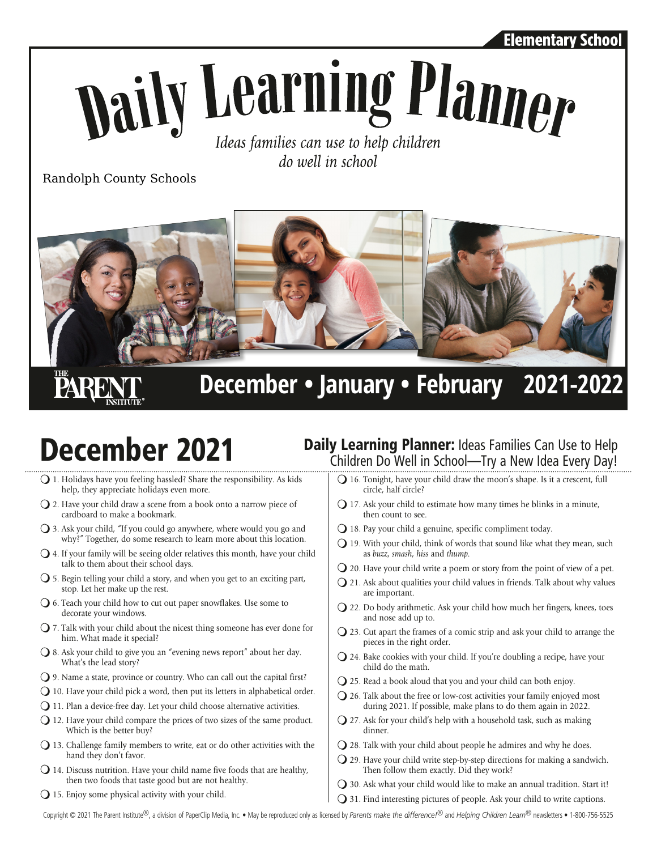### Elementary School

# Naily Learning Planner Ideas families can use to help children

do well in school

Randolph County Schools



**PARE** 

**December • January • February 2021-2022**

- $\bigcup$  1. Holidays have you feeling hassled? Share the responsibility. As kids help, they appreciate holidays even more.
- $\Omega$  2. Have your child draw a scene from a book onto a narrow piece of cardboard to make a bookmark.
- $\bigcirc$  3. Ask your child, "If you could go anywhere, where would you go and why?" Together, do some research to learn more about this location.
- $\bigcirc$  4. If your family will be seeing older relatives this month, have your child talk to them about their school days.
- $\bigcirc$  5. Begin telling your child a story, and when you get to an exciting part, stop. Let her make up the rest.
- $\bigcirc$  6. Teach your child how to cut out paper snowflakes. Use some to decorate your windows.
- $\bigcirc$  7. Talk with your child about the nicest thing someone has ever done for him. What made it special?
- $\bigcirc$  8. Ask your child to give you an "evening news report" about her day. What's the lead story?
- $\bigcirc$  9. Name a state, province or country. Who can call out the capital first?
- $\bigcirc$  10. Have your child pick a word, then put its letters in alphabetical order.
- $Q$  11. Plan a device-free day. Let your child choose alternative activities.
- $Q$  12. Have your child compare the prices of two sizes of the same product. Which is the better buy?
- $\bigcirc$  13. Challenge family members to write, eat or do other activities with the hand they don't favor.
- $\Omega$  14. Discuss nutrition. Have your child name five foods that are healthy, then two foods that taste good but are not healthy.
- $Q$  15. Enjoy some physical activity with your child.

## **December 2021** Daily Learning Planner: Ideas Families Can Use to Help Children Do Well in School—Try a New Idea Every Day!

- $Q$  16. Tonight, have your child draw the moon's shape. Is it a crescent, full circle, half circle?
- $\Omega$  17. Ask your child to estimate how many times he blinks in a minute, then count to see.
- $Q$  18. Pay your child a genuine, specific compliment today.
- $\bigcirc$  19. With your child, think of words that sound like what they mean, such as *buzz*, *smash*, *hiss* and *thump*.
- $\bigcirc$  20. Have your child write a poem or story from the point of view of a pet.
- $Q$  21. Ask about qualities your child values in friends. Talk about why values are important.
- $\Omega$  22. Do body arithmetic. Ask your child how much her fingers, knees, toes and nose add up to.
- $Q$  23. Cut apart the frames of a comic strip and ask your child to arrange the pieces in the right order.
- $\bigcirc$  24. Bake cookies with your child. If you're doubling a recipe, have your child do the math.
- $\bigcirc$  25. Read a book aloud that you and your child can both enjoy.
- $Q$  26. Talk about the free or low-cost activities your family enjoyed most during 2021. If possible, make plans to do them again in 2022.
- $Q$  27. Ask for your child's help with a household task, such as making dinner.
- $\Omega$  28. Talk with your child about people he admires and why he does.
- $\bigcirc$  29. Have your child write step-by-step directions for making a sandwich. Then follow them exactly. Did they work?
- $\bigcirc$  30. Ask what your child would like to make an annual tradition. Start it!
- $\Omega$  31. Find interesting pictures of people. Ask your child to write captions.

Copyright © 2021 The Parent Institute®, a division of PaperClip Media, Inc. • May be reproduced only as licensed by *Parents make the difference!*® and *Helping Children Learn*® newsletters • 1-800-756-5525